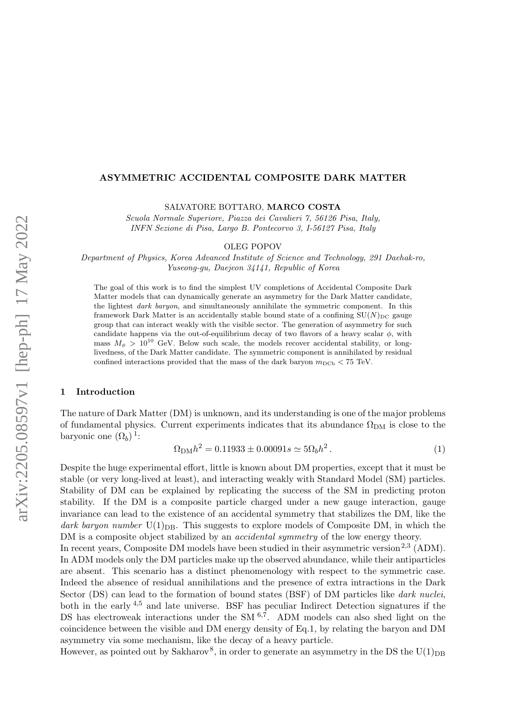#### ASYMMETRIC ACCIDENTAL COMPOSITE DARK MATTER

SALVATORE BOTTARO, MARCO COSTA

Scuola Normale Superiore, Piazza dei Cavalieri 7, 56126 Pisa, Italy, INFN Sezione di Pisa, Largo B. Pontecorvo 3, I-56127 Pisa, Italy

OLEG POPOV

Department of Physics, Korea Advanced Institute of Science and Technology, 291 Daehak-ro, Yuseong-gu, Daejeon 34141, Republic of Korea

The goal of this work is to find the simplest UV completions of Accidental Composite Dark Matter models that can dynamically generate an asymmetry for the Dark Matter candidate, the lightest dark baryon, and simultaneously annihilate the symmetric component. In this framework Dark Matter is an accidentally stable bound state of a confining  $SU(N)_{DC}$  gauge group that can interact weakly with the visible sector. The generation of asymmetry for such candidate happens via the out-of-equilibrium decay of two flavors of a heavy scalar  $\phi$ , with mass  $M_{\phi} > 10^{10}$  GeV. Below such scale, the models recover accidental stability, or longlivedness, of the Dark Matter candidate. The symmetric component is annihilated by residual confined interactions provided that the mass of the dark baryon  $m_{\text{DCb}} < 75 \text{ TeV}$ .

### 1 Introduction

The nature of Dark Matter (DM) is unknown, and its understanding is one of the major problems of fundamental physics. Current experiments indicates that its abundance  $\Omega_{DM}$  is close to the baryonic one  $(\Omega_b)$ <sup>[1](#page-3-0)</sup>:

<span id="page-0-0"></span>
$$
\Omega_{\rm DM}h^2 = 0.11933 \pm 0.00091s \simeq 5\Omega_b h^2. \tag{1}
$$

Despite the huge experimental effort, little is known about DM properties, except that it must be stable (or very long-lived at least), and interacting weakly with Standard Model (SM) particles. Stability of DM can be explained by replicating the success of the SM in predicting proton stability. If the DM is a composite particle charged under a new gauge interaction, gauge invariance can lead to the existence of an accidental symmetry that stabilizes the DM, like the dark baryon number  $U(1)_{DR}$ . This suggests to explore models of Composite DM, in which the DM is a composite object stabilized by an accidental symmetry of the low energy theory.

In recent years, Composite DM models have been studied in their asymmetric version<sup>[2](#page-3-1),[3](#page-3-2)</sup> (ADM). In ADM models only the DM particles make up the observed abundance, while their antiparticles are absent. This scenario has a distinct phenomenology with respect to the symmetric case. Indeed the absence of residual annihilations and the presence of extra intractions in the Dark Sector (DS) can lead to the formation of bound states (BSF) of DM particles like dark nuclei, both in the early [4](#page-3-3),[5](#page-3-4) and late universe. BSF has peculiar Indirect Detection signatures if the DS has electroweak interactions under the SM  $^{6,7}$  $^{6,7}$  $^{6,7}$  $^{6,7}$  $^{6,7}$ . ADM models can also shed light on the coincidence between the visible and DM energy density of Eq[.1,](#page-0-0) by relating the baryon and DM asymmetry via some mechanism, like the decay of a heavy particle.

However, as pointed out by Sakharov<sup>[8](#page-3-7)</sup>, in order to generate an asymmetry in the DS the U(1)<sub>DB</sub>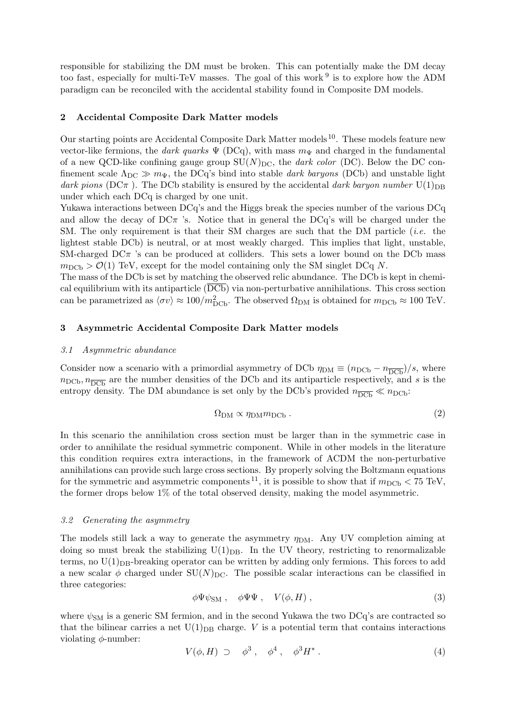responsible for stabilizing the DM must be broken. This can potentially make the DM decay too fast, especially for multi-TeV masses. The goal of this work <sup>[9](#page-3-8)</sup> is to explore how the ADM paradigm can be reconciled with the accidental stability found in Composite DM models.

## 2 Accidental Composite Dark Matter models

Our starting points are Accidental Composite Dark Matter models [10](#page-3-9). These models feature new vector-like fermions, the dark quarks  $\Psi$  (DCq), with mass  $m_{\Psi}$  and charged in the fundamental of a new QCD-like confining gauge group  $SU(N)_{DC}$ , the *dark color* (DC). Below the DC confinement scale  $\Lambda_{\text{DC}} \gg m_{\Psi}$ , the DCq's bind into stable dark baryons (DCb) and unstable light dark pions (DC $\pi$ ). The DCb stability is ensured by the accidental dark baryon number U(1)<sub>DB</sub> under which each DCq is charged by one unit.

Yukawa interactions between DCq's and the Higgs break the species number of the various DCq and allow the decay of  $DC\pi$  's. Notice that in general the  $DCq$ 's will be charged under the SM. The only requirement is that their SM charges are such that the DM particle  $(i.e.$  the lightest stable DCb) is neutral, or at most weakly charged. This implies that light, unstable, SM-charged  $DC\pi$  's can be produced at colliders. This sets a lower bound on the DCb mass  $m_{\rm DCh} > \mathcal{O}(1)$  TeV, except for the model containing only the SM singlet DCq N.

The mass of the DCb is set by matching the observed relic abundance. The DCb is kept in chemical equilibrium with its antiparticle  $(DCD)$  via non-perturbative annihilations. This cross section can be parametrized as  $\langle \sigma v \rangle \approx 100/m_{\text{DCb}}^2$ . The observed  $\Omega_{\text{DM}}$  is obtained for  $m_{\text{DCb}} \approx 100 \text{ TeV}$ .

## 3 Asymmetric Accidental Composite Dark Matter models

#### 3.1 Asymmetric abundance

Consider now a scenario with a primordial asymmetry of DCb  $\eta_{DM} \equiv (n_{DCb} - n_{\overline{DCb}})/s$ , where  $n_{\rm DCb}, n_{\overline{\rm DCb}}$  are the number densities of the DCb and its antiparticle respectively, and s is the entropy density. The DM abundance is set only by the DCb's provided  $n_{\overline{DCb}} \ll n_{DCb}$ :

<span id="page-1-1"></span>
$$
\Omega_{\rm DM} \propto \eta_{\rm DM} m_{\rm DCb} \ . \tag{2}
$$

In this scenario the annihilation cross section must be larger than in the symmetric case in order to annihilate the residual symmetric component. While in other models in the literature this condition requires extra interactions, in the framework of ACDM the non-perturbative annihilations can provide such large cross sections. By properly solving the Boltzmann equations for the symmetric and asymmetric components <sup>[11](#page-3-10)</sup>, it is possible to show that if  $m_{\text{DCb}} < 75 \text{ TeV}$ , the former drops below 1% of the total observed density, making the model asymmetric.

#### 3.2 Generating the asymmetry

The models still lack a way to generate the asymmetry  $\eta_{DM}$ . Any UV completion aiming at doing so must break the stabilizing  $U(1)_{DB}$ . In the UV theory, restricting to renormalizable terms, no  $U(1)_{\text{DB}}$ -breaking operator can be written by adding only fermions. This forces to add a new scalar  $\phi$  charged under SU(N)<sub>DC</sub>. The possible scalar interactions can be classified in three categories:

<span id="page-1-0"></span>
$$
\phi\Psi\psi_{\rm SM} , \quad \phi\Psi\Psi , \quad V(\phi, H) , \tag{3}
$$

where  $\psi_{\text{SM}}$  is a generic SM fermion, and in the second Yukawa the two DCq's are contracted so that the bilinear carries a net  $U(1)_{\text{DB}}$  charge. V is a potential term that contains interactions violating  $\phi$ -number:

$$
V(\phi, H) \supset \phi^3, \phi^4, \phi^3 H^*.
$$
 (4)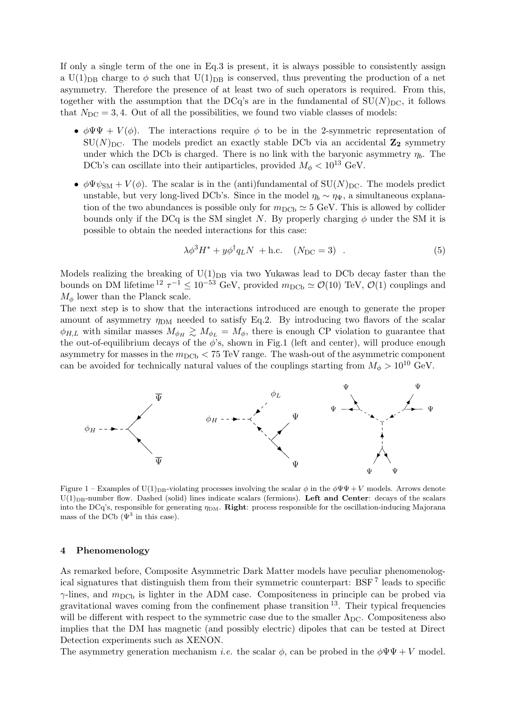If only a single term of the one in Eq[.3](#page-1-0) is present, it is always possible to consistently assign a U(1)<sub>DB</sub> charge to  $\phi$  such that U(1)<sub>DB</sub> is conserved, thus preventing the production of a net asymmetry. Therefore the presence of at least two of such operators is required. From this, together with the assumption that the DCq's are in the fundamental of  $SU(N)_{DC}$ , it follows that  $N_{\text{DC}} = 3, 4$ . Out of all the possibilities, we found two viable classes of models:

- $\phi \Psi \Psi + V(\phi)$ . The interactions require  $\phi$  to be in the 2-symmetric representation of  $SU(N)_{DC}$ . The models predict an exactly stable DCb via an accidental  $\mathbb{Z}_2$  symmetry under which the DCb is charged. There is no link with the baryonic asymmetry  $\eta_b$ . The DCb's can oscillate into their antiparticles, provided  $M_{\phi} < 10^{13}$  GeV.
- $\phi \Psi \psi_{\rm SM} + V(\phi)$ . The scalar is in the (anti)fundamental of SU(N)<sub>DC</sub>. The models predict unstable, but very long-lived DCb's. Since in the model  $\eta_b \sim \eta_{\Psi}$ , a simultaneous explanation of the two abundances is possible only for  $m_{\text{DCb}} \simeq 5 \text{ GeV}$ . This is allowed by collider bounds only if the DCq is the SM singlet N. By properly charging  $\phi$  under the SM it is possible to obtain the needed interactions for this case:

<span id="page-2-0"></span>
$$
\lambda \phi^3 H^* + y \phi^\dagger q_L N + \text{h.c.} \quad (N_{\text{DC}} = 3) \quad . \tag{5}
$$

Models realizing the breaking of  $U(1)_{DB}$  via two Yukawas lead to DCb decay faster than the bounds on DM lifetime  $^{12} \tau^{-1} \leq 10^{-53}$  $^{12} \tau^{-1} \leq 10^{-53}$  $^{12} \tau^{-1} \leq 10^{-53}$  GeV, provided  $m_{\text{DCb}} \simeq \mathcal{O}(10)$  TeV,  $\mathcal{O}(1)$  couplings and  $M_{\phi}$  lower than the Planck scale.

The next step is to show that the interactions introduced are enough to generate the proper amount of asymmetry  $\eta_{DM}$  needed to satisfy Eq[.2.](#page-1-1) By introducing two flavors of the scalar  $\phi_{H,L}$  with similar masses  $M_{\phi_H} \gtrsim M_{\phi_L} = M_{\phi}$ , there is enough CP violation to guarantee that the out-of-equilibrium decays of the  $\phi$ 's, shown in Fig[.1](#page-2-0) (left and center), will produce enough asymmetry for masses in the  $m_{\text{DCb}} < 75 \text{ TeV}$  range. The wash-out of the asymmetric component can be avoided for technically natural values of the couplings starting from  $M_{\phi} > 10^{10}$  GeV.



Figure 1 – Examples of U(1)<sub>DB</sub>-violating processes involving the scalar  $\phi$  in the  $\phi\Psi\Psi + V$  models. Arrows denote  $U(1)_{\text{DB-number}}$  flow. Dashed (solid) lines indicate scalars (fermions). Left and Center: decays of the scalars into the DCq's, responsible for generating  $\eta_{DM}$ . **Right**: process responsible for the oscillation-inducing Majorana mass of the DCb  $(\Psi^3$  in this case).

### 4 Phenomenology

As remarked before, Composite Asymmetric Dark Matter models have peculiar phenomenological signatures that distinguish them from their symmetric counterpart: BSF [7](#page-3-6) leads to specific  $\gamma$ -lines, and  $m_{\text{DCb}}$  is lighter in the ADM case. Compositeness in principle can be probed via gravitational waves coming from the confinement phase transition  $13$ . Their typical frequencies will be different with respect to the symmetric case due to the smaller  $\Lambda_{\text{DC}}$ . Compositeness also implies that the DM has magnetic (and possibly electric) dipoles that can be tested at Direct Detection experiments such as XENON.

The asymmetry generation mechanism *i.e.* the scalar  $\phi$ , can be probed in the  $\phi \Psi \Psi + V$  model.